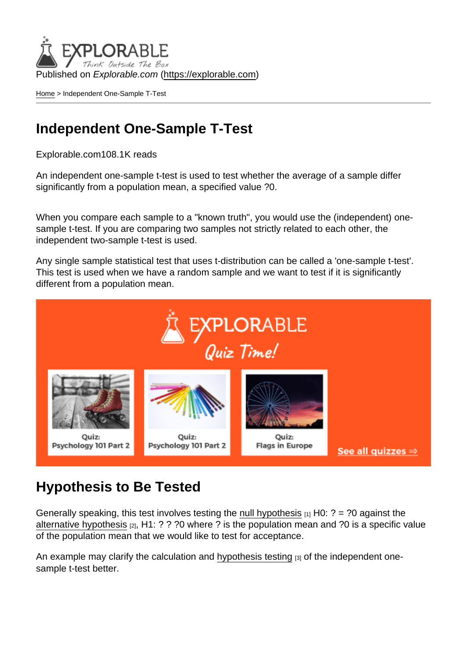Published on Explorable.com (<https://explorable.com>)

[Home](https://explorable.com/) > Independent One-Sample T-Test

#### Independent One-Sample T-Test

Explorable.com108.1K reads

An independent one-sample t-test is used to test whether the average of a sample differ significantly from a population mean, a specified value ?0.

When you compare each sample to a "known truth", you would use the (independent) onesample t-test. If you are comparing two samples not strictly related to each other, the independent two-sample t-test is used.

Any single sample statistical test that uses t-distribution can be called a 'one-sample t-test'. This test is used when we have a random sample and we want to test if it is significantly different from a population mean.

#### Hypothesis to Be Tested

Generally speaking, this test involves testing the [null hypothesis](https://explorable.com/null-hypothesis)  $[1]$  H0: ? = ?0 against the [alternative hypothesis](https://explorable.com/research-hypothesis)  $[2]$ , H1: ? ? ?0 where ? is the population mean and ?0 is a specific value of the population mean that we would like to test for acceptance.

An example may clarify the calculation and [hypothesis testing](https://explorable.com/hypothesis-testing) <sub>[3]</sub> of the independent onesample t-test better.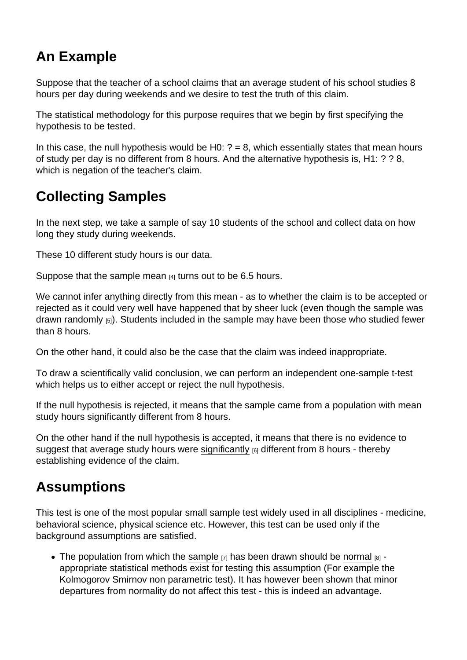## An Example

Suppose that the teacher of a school claims that an average student of his school studies 8 hours per day during weekends and we desire to test the truth of this claim.

The statistical methodology for this purpose requires that we begin by first specifying the hypothesis to be tested.

In this case, the null hypothesis would be H0:  $? = 8$ , which essentially states that mean hours of study per day is no different from 8 hours. And the alternative hypothesis is, H1: ? ? 8, which is negation of the teacher's claim.

## Collecting Samples

In the next step, we take a sample of say 10 students of the school and collect data on how long they study during weekends.

These 10 different study hours is our data.

Suppose that the sample [mean](https://explorable.com/arithmetic-mean)  $A_1$  turns out to be 6.5 hours.

We cannot infer anything directly from this mean - as to whether the claim is to be accepted or rejected as it could very well have happened that by sheer luck (even though the sample was drawn [randomly](https://explorable.com/randomization) [5]). Students included in the sample may have been those who studied fewer than 8 hours.

On the other hand, it could also be the case that the claim was indeed inappropriate.

To draw a scientifically valid conclusion, we can perform an independent one-sample t-test which helps us to either accept or reject the null hypothesis.

If the null hypothesis is rejected, it means that the sample came from a population with mean study hours significantly different from 8 hours.

On the other hand if the null hypothesis is accepted, it means that there is no evidence to suggest that average study hours were [significantly](https://explorable.com/significance-test-2)  $[6]$  different from 8 hours - thereby establishing evidence of the claim.

#### Assumptions

This test is one of the most popular small sample test widely used in all disciplines - medicine, behavioral science, physical science etc. However, this test can be used only if the background assumptions are satisfied.

• The population from which the [sample](https://explorable.com/what-is-sampling)  $[7]$  has been drawn should be [normal](https://explorable.com/normal-probability-distribution)  $[8]$  appropriate statistical methods exist for testing this assumption (For example the Kolmogorov Smirnov non parametric test). It has however been shown that minor departures from normality do not affect this test - this is indeed an advantage.